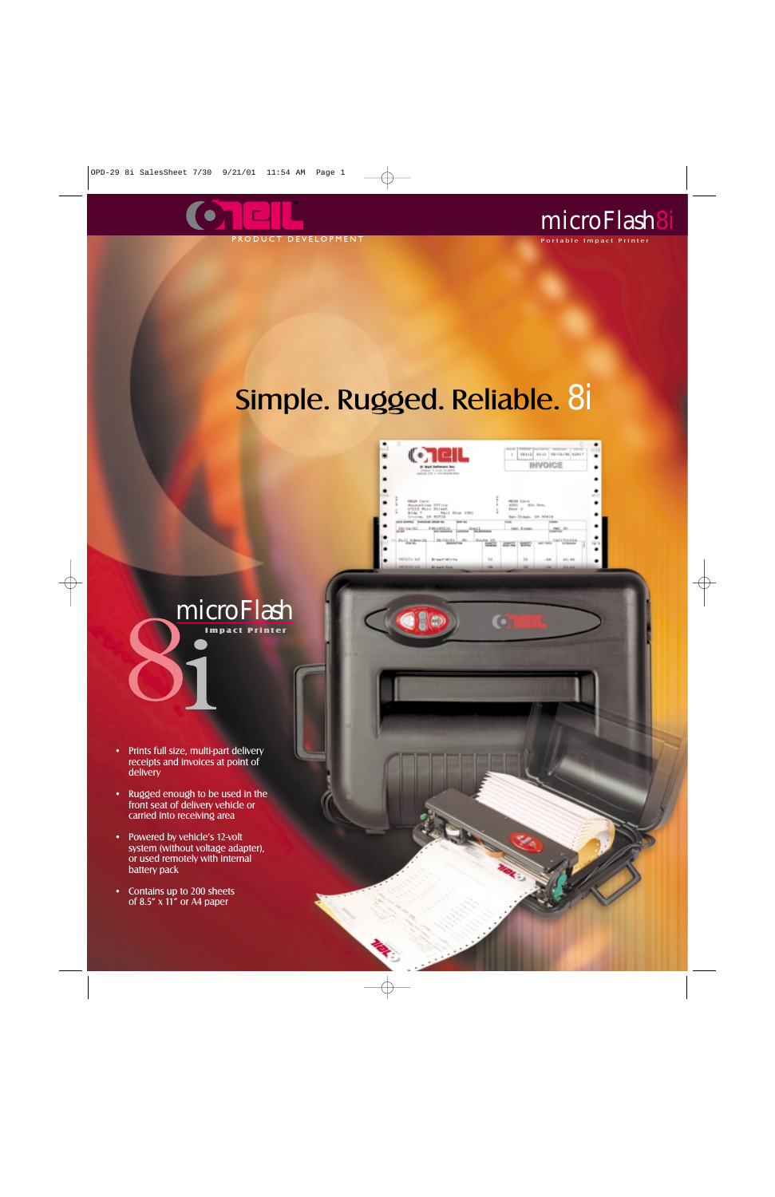



#### Portable Impact Printer

# Simple. Rugged. Reliable. 8i



O



- Prints full size, multi-part delivery receipts and invoices at point of delivery
- Rugged enough to be used in the front seat of delivery vehicle or carried into receiving area
- Powered by vehicle's 12-volt system (without voltage adapter), or used remotely with internal battery pack
- Contains up to 200 sheets of 8.5" x 11" or A4 paper